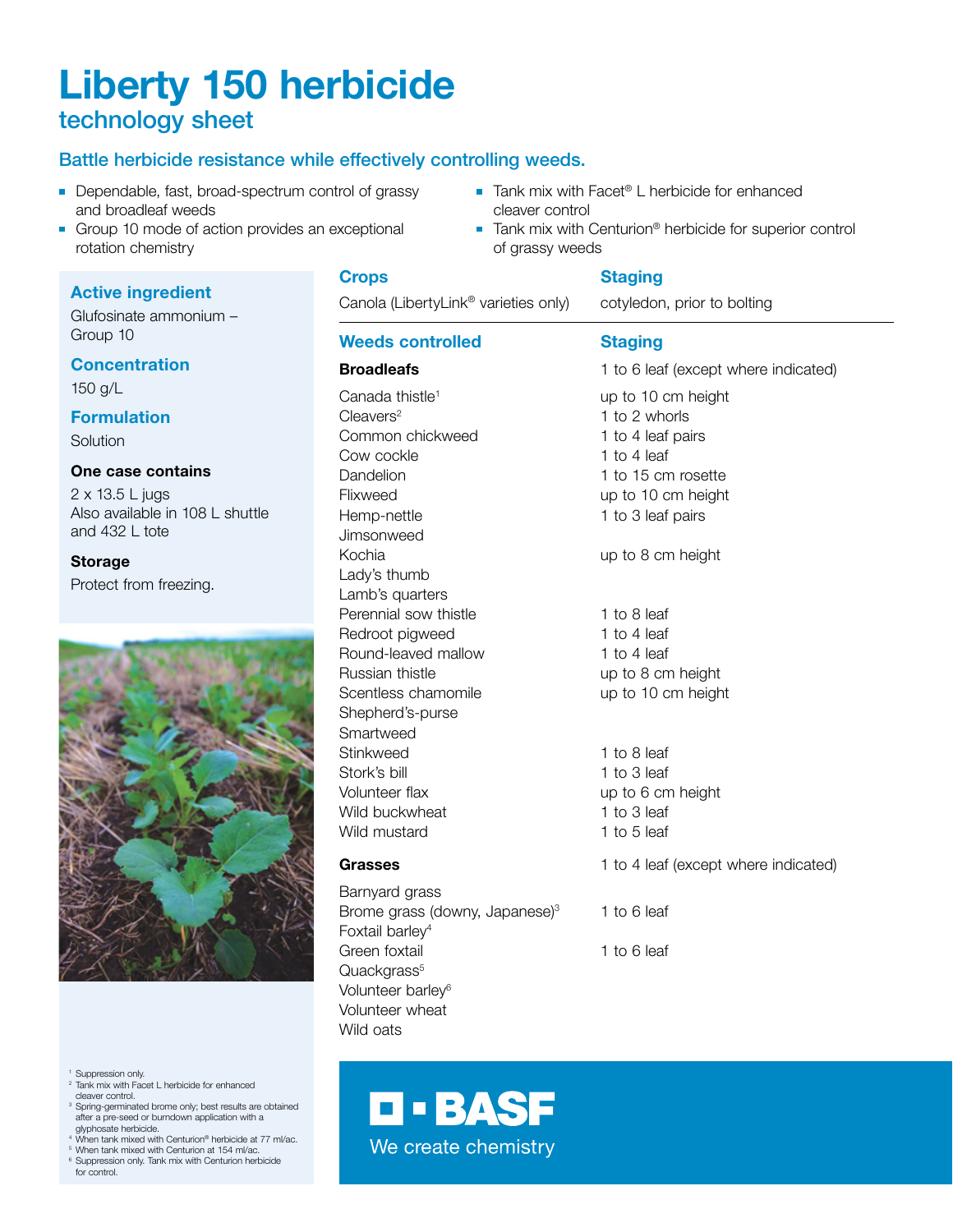# Liberty 150 herbicide technology sheet

# Battle herbicide resistance while effectively controlling weeds.

- Dependable, fast, broad-spectrum control of grassy and broadleaf weeds
- Group 10 mode of action provides an exceptional rotation chemistry

# Active ingredient

Glufosinate ammonium – Group 10

# **Concentration**

150 g/L

# Formulation

Solution

# One case contains

2 x 13.5 L jugs Also available in 108 L shuttle and 432 L tote

## Storage

Protect from freezing.



<sup>1</sup> Suppression only.

- <sup>2</sup> Tank mix with Facet L herbicide for enhanced
- cleaver control. <sup>3</sup> Spring-germinated brome only; best results are obtained after a pre-seed or burndown application with a glyphosate herbicide. <sup>4</sup> When tank mixed with Centurion® herbicide at 77 ml/ac.
- <sup>5</sup> When tank mixed with Centurion at 154 ml/ac.
- <sup>6</sup> Suppression only. Tank mix with Centurion herbicide for control.
- Tank mix with Facet<sup>®</sup> L herbicide for enhanced cleaver control
- Tank mix with Centurion<sup>®</sup> herbicide for superior control of grassy weeds

#### **Crops** Staging

Quackgrass<sup>5</sup> Volunteer barley<sup>6</sup> Volunteer wheat Wild oats

Canola (LibertyLink® varieties only) cotyledon, prior to bolting

# Weeds controlled Staging

| <u>WCCUS VUINIUICU</u>                                                    | Juaying                              |  |
|---------------------------------------------------------------------------|--------------------------------------|--|
| <b>Broadleafs</b>                                                         | 1 to 6 leaf (except where indicated) |  |
| Canada thistle <sup>1</sup>                                               | up to 10 cm height                   |  |
| $C$ leavers <sup>2</sup>                                                  | 1 to 2 whorls                        |  |
| Common chickweed                                                          | 1 to 4 leaf pairs                    |  |
| Cow cockle                                                                | 1 to 4 leaf                          |  |
| Dandelion                                                                 | 1 to 15 cm rosette                   |  |
| Flixweed                                                                  | up to 10 cm height                   |  |
| Hemp-nettle                                                               | 1 to 3 leaf pairs                    |  |
| Jimsonweed                                                                |                                      |  |
| Kochia                                                                    | up to 8 cm height                    |  |
| Lady's thumb                                                              |                                      |  |
| Lamb's quarters                                                           |                                      |  |
| Perennial sow thistle                                                     | 1 to 8 leaf                          |  |
| Redroot pigweed                                                           | 1 to 4 leaf                          |  |
| Round-leaved mallow                                                       | 1 to 4 leaf                          |  |
| Russian thistle                                                           | up to 8 cm height                    |  |
| Scentless chamomile                                                       | up to 10 cm height                   |  |
| Shepherd's-purse                                                          |                                      |  |
| Smartweed                                                                 |                                      |  |
| Stinkweed                                                                 | 1 to 8 leaf                          |  |
| Stork's bill                                                              | 1 to 3 leaf                          |  |
| Volunteer flax                                                            | up to 6 cm height                    |  |
| Wild buckwheat                                                            | 1 to 3 leaf                          |  |
| Wild mustard                                                              | 1 to 5 leaf                          |  |
| Grasses                                                                   | 1 to 4 leaf (except where indicated) |  |
| Barnyard grass                                                            |                                      |  |
| Brome grass (downy, Japanese) <sup>3</sup><br>Foxtail barley <sup>4</sup> | 1 to 6 leaf                          |  |
| Green foxtail                                                             | 1 to 6 leaf                          |  |

**D-BASF** We create chemistry